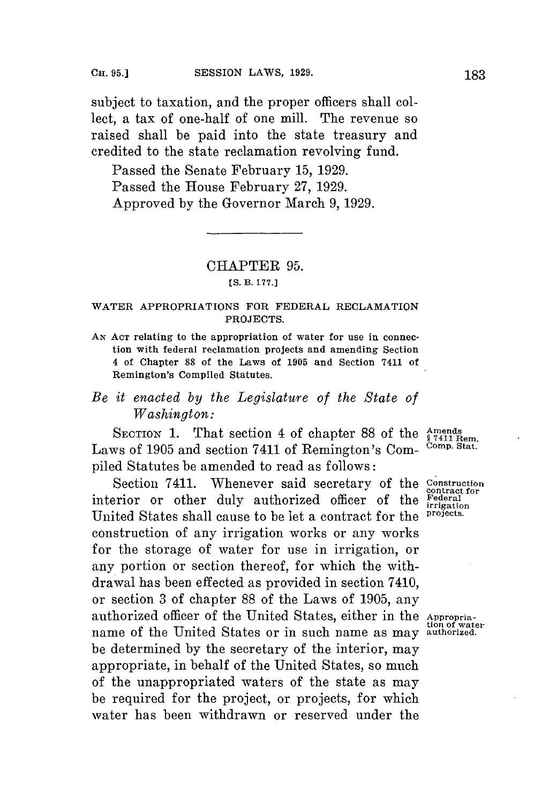subject to taxation, and the proper officers shall collect, a tax of one-half of one mill. The revenue so raised shall be paid into the state treasury and credited to the state reclamation revolving fund.

Passed the Senate February **15, 1929.** Passed the House February **27, 1929.** Approved **by** the Governor March **9, 1929.**

## CHAPTER **95.**

## **[S. B. 177.]**

## **WATER APPROPRIATIONS FOR FEDERAL RECLAMATION PROJECTS.**

**AN ACT relating to the appropriation of water for use in connection with federal reclamation projects and amending Section 4 of Chapter 88 of the Laws of 1905 and Section 7411 of Remington's Compiled Statutes.**

## *Be it enacted by the Legislature of the State of Washington:*

SECTION 1. That section 4 of chapter 88 of the Amends<br>ws of 1905 and section 7411 of Remington's Com- Comp. Stat. Laws of 1905 and section 7411 of Remington's Compiled Statutes be amended to read as follows:

Section 7411. Whenever said secretary of the **Construction** interior or other duly authorized officer of the **Federal II** is unit of the *irrigation* **interiories** United States shall cause to be let a contract for the construction of any irrigation works or any works for the storage of water for use in irrigation, or any portion or section thereof, for which the withdrawal has been effected as provided in section 7410, or section **3** of chapter **88** of the Laws of **1905,** any authorized officer of the United States, either in the Appropria-<br>  $\frac{1}{100}$  of water name of the United States or in such name as may **authorized.** be determined **by** the secretary of the interior, may appropriate, in behalf of the United States, so much of the unappropriated waters of the state as may be required for the project, or projects, for which water has been withdrawn or reserved under the

contract for<br>Federal<br>irrigation